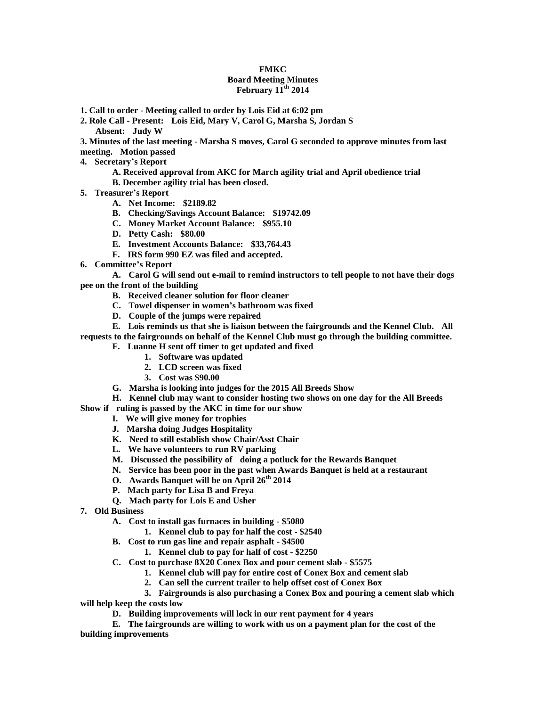## **FMKC**

## **Board Meeting Minutes February 11th 2014**

- **1. Call to order - Meeting called to order by Lois Eid at 6:02 pm**
- **2. Role Call - Present: Lois Eid, Mary V, Carol G, Marsha S, Jordan S Absent: Judy W**

**3. Minutes of the last meeting - Marsha S moves, Carol G seconded to approve minutes from last meeting. Motion passed**

- **4. Secretary's Report**
	- **A. Received approval from AKC for March agility trial and April obedience trial**
	- **B. December agility trial has been closed.**
- **5. Treasurer's Report**
	- **A. Net Income: \$2189.82**
	- **B. Checking/Savings Account Balance: \$19742.09**
	- **C. Money Market Account Balance: \$955.10**
	- **D. Petty Cash: \$80.00**
	- **E. Investment Accounts Balance: \$33,764.43**
	- **F. IRS form 990 EZ was filed and accepted.**
- **6. Committee's Report**

**A. Carol G will send out e-mail to remind instructors to tell people to not have their dogs pee on the front of the building**

- **B. Received cleaner solution for floor cleaner**
- **C. Towel dispenser in women's bathroom was fixed**
- **D. Couple of the jumps were repaired**

**E. Lois reminds us that she is liaison between the fairgrounds and the Kennel Club. All requests to the fairgrounds on behalf of the Kennel Club must go through the building committee.** 

- **F. Luanne H sent off timer to get updated and fixed**
	- **1. Software was updated**
	- **2. LCD screen was fixed**
	- **3. Cost was \$90.00**
- **G. Marsha is looking into judges for the 2015 All Breeds Show**
- **H. Kennel club may want to consider hosting two shows on one day for the All Breeds**
- **Show if ruling is passed by the AKC in time for our show**
	- **I. We will give money for trophies**
	- **J. Marsha doing Judges Hospitality**
	- **K. Need to still establish show Chair/Asst Chair**
	- **L. We have volunteers to run RV parking**
	- **M. Discussed the possibility of doing a potluck for the Rewards Banquet**
	- **N. Service has been poor in the past when Awards Banquet is held at a restaurant**
	- **O. Awards Banquet will be on April 26th 2014**
	- **P. Mach party for Lisa B and Freya**
	- **Q. Mach party for Lois E and Usher**
- **7. Old Business**
	- **A. Cost to install gas furnaces in building - \$5080**
		- **1. Kennel club to pay for half the cost - \$2540**
	- **B. Cost to run gas line and repair asphalt - \$4500**
		- **1. Kennel club to pay for half of cost - \$2250**
	- **C. Cost to purchase 8X20 Conex Box and pour cement slab - \$5575**
		- **1. Kennel club will pay for entire cost of Conex Box and cement slab**
		- **2. Can sell the current trailer to help offset cost of Conex Box**
		- **3. Fairgrounds is also purchasing a Conex Box and pouring a cement slab which**

**will help keep the costs low**

**D. Building improvements will lock in our rent payment for 4 years**

**E. The fairgrounds are willing to work with us on a payment plan for the cost of the building improvements**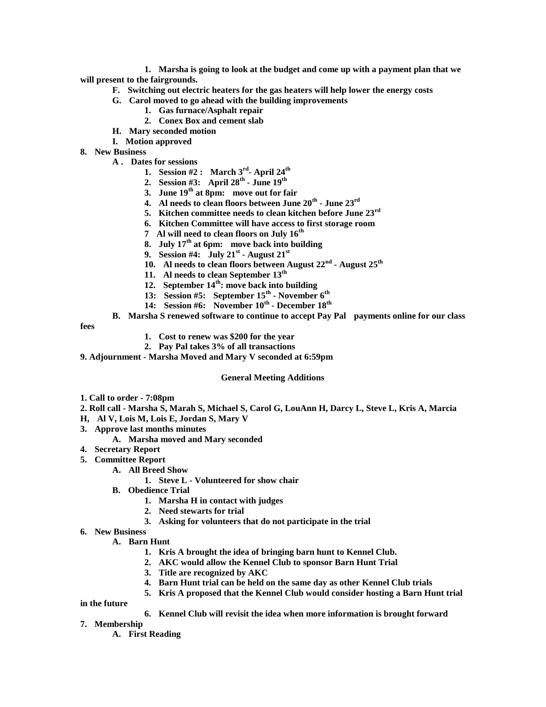**1. Marsha is going to look at the budget and come up with a payment plan that we will present to the fairgrounds.**

- **F. Switching out electric heaters for the gas heaters will help lower the energy costs**
- **G. Carol moved to go ahead with the building improvements**
	- **1. Gas furnace/Asphalt repair**
	- **2. Conex Box and cement slab**
- **H. Mary seconded motion**
- **I. Motion approved**
- **8. New Business**
	- **A . Dates for sessions**
		- **1. Session #2 : March 3rd - April 24th**
		- **2. Session #3: April 28th - June 19th**
		- **3. June 19th at 8pm: move out for fair**
		- **4. Al needs to clean floors between June 20th - June 23rd**
		- **5. Kitchen committee needs to clean kitchen before June 23rd**
		- **6. Kitchen Committee will have access to first storage room**
		- **7 Al will need to clean floors on July 16th**
		- **8. July 17th at 6pm: move back into building**
		- **9.** Session #4: July 21<sup>st</sup> August 21<sup>st</sup>
		- **10. Al needs to clean floors between August 22nd - August 25th**
		- **11. Al needs to clean September 13th**
		- **12. September 14th: move back into building**
		- **13: Session #5: September 15th - November 6th**
		- **14: Session #6: November 10th - December 18th**
	- **B. Marsha S renewed software to continue to accept Pay Pal payments online for our class**

**fees**

- **1. Cost to renew was \$200 for the year**
- **2. Pay Pal takes 3% of all transactions**
- **9. Adjournment - Marsha Moved and Mary V seconded at 6:59pm**

## **General Meeting Additions**

- **1. Call to order - 7:08pm**
- **2. Roll call - Marsha S, Marah S, Michael S, Carol G, LouAnn H, Darcy L, Steve L, Kris A, Marcia**
- **H, Al V, Lois M, Lois E, Jordan S, Mary V**
- **3. Approve last months minutes**
	- **A. Marsha moved and Mary seconded**
- **4. Secretary Report**
- **5. Committee Report**
	- **A. All Breed Show**
		- **1. Steve L - Volunteered for show chair**
	- **B. Obedience Trial**
		- **1. Marsha H in contact with judges**
		- **2. Need stewarts for trial**
		- **3. Asking for volunteers that do not participate in the trial**
- **6. New Business**
	- **A. Barn Hunt**
		- **1. Kris A brought the idea of bringing barn hunt to Kennel Club.**
		- **2. AKC would allow the Kennel Club to sponsor Barn Hunt Trial**
		- **3. Title are recognized by AKC**
		- **4. Barn Hunt trial can be held on the same day as other Kennel Club trials**
		- **5. Kris A proposed that the Kennel Club would consider hosting a Barn Hunt trial**

**in the future**

- **6. Kennel Club will revisit the idea when more information is brought forward**
- **7. Membership**
	- **A. First Reading**